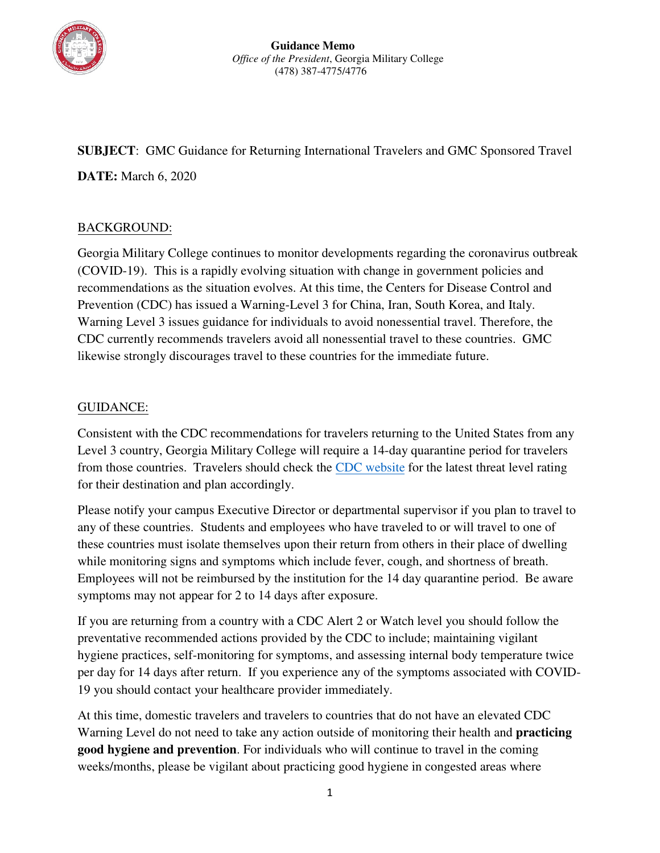

**SUBJECT**: GMC Guidance for Returning International Travelers and GMC Sponsored Travel **DATE:** March 6, 2020

## BACKGROUND:

Georgia Military College continues to monitor developments regarding the coronavirus outbreak (COVID-19). This is a rapidly evolving situation with change in government policies and recommendations as the situation evolves. At this time, the Centers for Disease Control and Prevention (CDC) has issued a Warning-Level 3 for China, Iran, South Korea, and Italy. Warning Level 3 issues guidance for individuals to avoid nonessential travel. Therefore, the CDC currently recommends travelers avoid all nonessential travel to these countries. GMC likewise strongly discourages travel to these countries for the immediate future.

## GUIDANCE:

Consistent with the CDC recommendations for travelers returning to the United States from any Level 3 country, Georgia Military College will require a 14-day quarantine period for travelers from those countries. Travelers should check the [CDC website](https://www.cdc.gov/coronavirus/2019-ncov/travelers/index.html) for the latest threat level rating for their destination and plan accordingly.

Please notify your campus Executive Director or departmental supervisor if you plan to travel to any of these countries. Students and employees who have traveled to or will travel to one of these countries must isolate themselves upon their return from others in their place of dwelling while monitoring signs and symptoms which include fever, cough, and shortness of breath. Employees will not be reimbursed by the institution for the 14 day quarantine period. Be aware symptoms may not appear for 2 to 14 days after exposure.

If you are returning from a country with a CDC Alert 2 or Watch level you should follow the preventative recommended actions provided by the CDC to include; maintaining vigilant hygiene practices, self-monitoring for symptoms, and assessing internal body temperature twice per day for 14 days after return. If you experience any of the symptoms associated with COVID-19 you should contact your healthcare provider immediately.

At this time, domestic travelers and travelers to countries that do not have an elevated CDC Warning Level do not need to take any action outside of monitoring their health and **practicing good hygiene and prevention**. For individuals who will continue to travel in the coming weeks/months, please be vigilant about practicing good hygiene in congested areas where